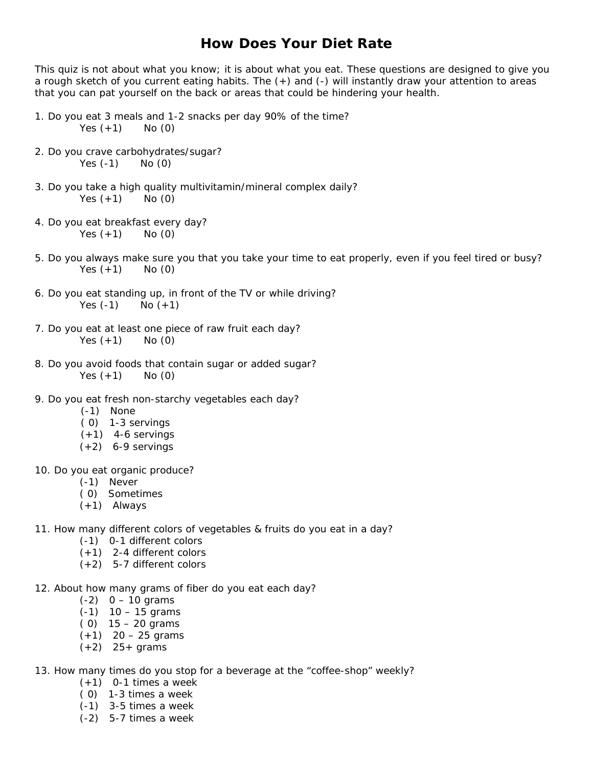# **How Does Your Diet Rate**

This quiz is not about what you know; it is about what you eat. These questions are designed to give you a rough sketch of you current eating habits. The (+) and (-) will instantly draw your attention to areas that you can pat yourself on the back or areas that could be hindering your health.

- 1. Do you eat 3 meals and 1-2 snacks per day 90% of the time? Yes  $(+1)$  No  $(0)$
- 2. Do you crave carbohydrates/sugar? Yes (-1) No (0)
- 3. Do you take a high quality multivitamin/mineral complex daily? Yes  $(+1)$  No  $(0)$
- 4. Do you eat breakfast every day? Yes  $(+1)$  No  $(0)$
- 5. Do you always make sure you that you take your time to eat properly, even if you feel tired or busy? Yes  $(+1)$  No  $(0)$
- 6. Do you eat standing up, in front of the TV or while driving? Yes  $(-1)$  No  $(+1)$
- 7. Do you eat at least one piece of raw fruit each day? Yes  $(+1)$  No  $(0)$
- 8. Do you avoid foods that contain sugar or added sugar? Yes  $(+1)$  No  $(0)$
- 9. Do you eat fresh non-starchy vegetables each day?
	- (-1) None
	- ( 0) 1-3 servings
	- $(+1)$  4-6 servings
	- $(+2)$  6-9 servings
- 10. Do you eat organic produce?
	- (-1) Never
	- ( 0) Sometimes
	- (+1) Always
- 11. How many different colors of vegetables & fruits do you eat in a day?
	- (-1) 0-1 different colors
	- (+1) 2-4 different colors
	- (+2) 5-7 different colors
- 12. About how many grams of fiber do you eat each day?
	- $(-2)$  0 10 grams
	- (-1) 10 15 grams
	- $(0)$  15 20 grams
	- $(+1)$  20 25 grams
	- $(+2)$  25+ grams
- 13. How many times do you stop for a beverage at the "coffee-shop" weekly?
	- $(+1)$  0-1 times a week
	- ( 0) 1-3 times a week
	- (-1) 3-5 times a week
	- (-2) 5-7 times a week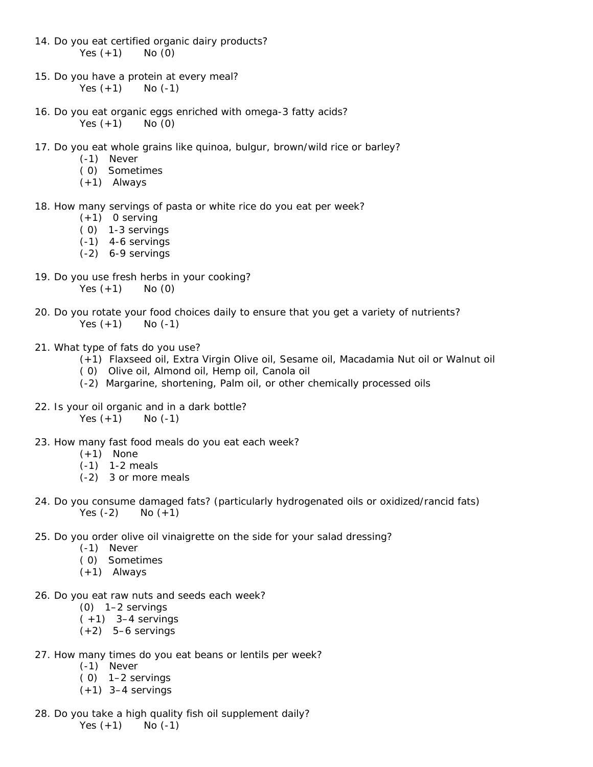- 14. Do you eat certified organic dairy products? Yes  $(+1)$  No  $(0)$
- 15. Do you have a protein at every meal? Yes  $(+1)$  No  $(-1)$
- 16. Do you eat organic eggs enriched with omega-3 fatty acids? Yes  $(+1)$  No  $(0)$
- 17. Do you eat whole grains like quinoa, bulgur, brown/wild rice or barley?
	- (-1) Never
	- ( 0) Sometimes
	- (+1) Always
- 18. How many servings of pasta or white rice do you eat per week?
	- $(+1)$  0 serving
	- ( 0) 1-3 servings
	- (-1) 4-6 servings
	- (-2) 6-9 servings
- 19. Do you use fresh herbs in your cooking? Yes  $(+1)$  No  $(0)$
- 20. Do you rotate your food choices daily to ensure that you get a variety of nutrients? Yes  $(+1)$  No  $(-1)$
- 21. What type of fats do you use?
	- (+1) Flaxseed oil, Extra Virgin Olive oil, Sesame oil, Macadamia Nut oil or Walnut oil
	- ( 0) Olive oil, Almond oil, Hemp oil, Canola oil
	- (-2) Margarine, shortening, Palm oil, or other chemically processed oils
- 22. Is your oil organic and in a dark bottle? Yes  $(+1)$  No  $(-1)$
- 23. How many fast food meals do you eat each week?
	- $(+1)$  None
	- (-1) 1-2 meals
	- (-2) 3 or more meals
- 24. Do you consume damaged fats? (particularly hydrogenated oils or oxidized/rancid fats) Yes  $(-2)$  No  $(+1)$
- 25. Do you order olive oil vinaigrette on the side for your salad dressing?
	- (-1) Never
	- ( 0) Sometimes
	- (+1) Always
- 26. Do you eat raw nuts and seeds each week?
	- (0) 1–2 servings
	- $(+1)$  3–4 servings
	- $(+2)$  5–6 servings
- 27. How many times do you eat beans or lentils per week?
	- (-1) Never
	- ( 0) 1–2 servings
	- $(+1)$  3-4 servings
- 28. Do you take a high quality fish oil supplement daily? Yes  $(+1)$  No  $(-1)$